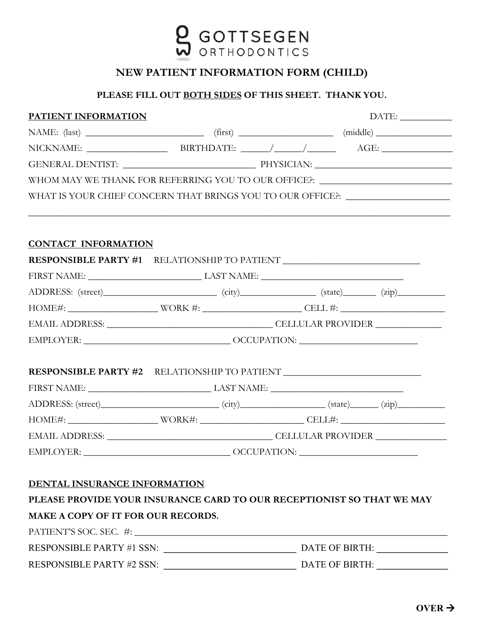

## **NEW PATIENT INFORMATION FORM (CHILD)**

## **PLEASE FILL OUT BOTH SIDES OF THIS SHEET. THANK YOU.**

| WHOM MAY WE THANK FOR REFERRING YOU TO OUR OFFICE?: ____________________________<br>WHAT IS YOUR CHIEF CONCERN THAT BRINGS YOU TO OUR OFFICE?: _____________________<br><u> 1999 - Jan Barbara, Amerikaansk politiker (d. 1989)</u><br><b>RESPONSIBLE PARTY #1</b> RELATIONSHIP TO PATIENT <b>__________________________</b> _______<br>ADDRESS: (street) (city) (city) (state) (zip) (zip) |  |  |
|---------------------------------------------------------------------------------------------------------------------------------------------------------------------------------------------------------------------------------------------------------------------------------------------------------------------------------------------------------------------------------------------|--|--|
|                                                                                                                                                                                                                                                                                                                                                                                             |  |  |
|                                                                                                                                                                                                                                                                                                                                                                                             |  |  |
|                                                                                                                                                                                                                                                                                                                                                                                             |  |  |
|                                                                                                                                                                                                                                                                                                                                                                                             |  |  |
|                                                                                                                                                                                                                                                                                                                                                                                             |  |  |
|                                                                                                                                                                                                                                                                                                                                                                                             |  |  |
|                                                                                                                                                                                                                                                                                                                                                                                             |  |  |
|                                                                                                                                                                                                                                                                                                                                                                                             |  |  |
|                                                                                                                                                                                                                                                                                                                                                                                             |  |  |
|                                                                                                                                                                                                                                                                                                                                                                                             |  |  |
|                                                                                                                                                                                                                                                                                                                                                                                             |  |  |
|                                                                                                                                                                                                                                                                                                                                                                                             |  |  |
| $\text{EMPLOYER:}\underbrace{\hspace{2cm}}_{\text{COMPLOYER:}}\underbrace{\hspace{2cm}}_{\text{OCUPATION:}}$                                                                                                                                                                                                                                                                                |  |  |
|                                                                                                                                                                                                                                                                                                                                                                                             |  |  |
| <b>RESPONSIBLE PARTY #2</b> RELATIONSHIP TO PATIENT __________________________________                                                                                                                                                                                                                                                                                                      |  |  |
| FIRST NAME: LAST NAME:                                                                                                                                                                                                                                                                                                                                                                      |  |  |
| ADDRESS: (street) (city) (state) (state) (zip)                                                                                                                                                                                                                                                                                                                                              |  |  |
|                                                                                                                                                                                                                                                                                                                                                                                             |  |  |
|                                                                                                                                                                                                                                                                                                                                                                                             |  |  |
|                                                                                                                                                                                                                                                                                                                                                                                             |  |  |
|                                                                                                                                                                                                                                                                                                                                                                                             |  |  |
|                                                                                                                                                                                                                                                                                                                                                                                             |  |  |
| PLEASE PROVIDE YOUR INSURANCE CARD TO OUR RECEPTIONIST SO THAT WE MAY                                                                                                                                                                                                                                                                                                                       |  |  |
|                                                                                                                                                                                                                                                                                                                                                                                             |  |  |
|                                                                                                                                                                                                                                                                                                                                                                                             |  |  |
|                                                                                                                                                                                                                                                                                                                                                                                             |  |  |
|                                                                                                                                                                                                                                                                                                                                                                                             |  |  |
|                                                                                                                                                                                                                                                                                                                                                                                             |  |  |